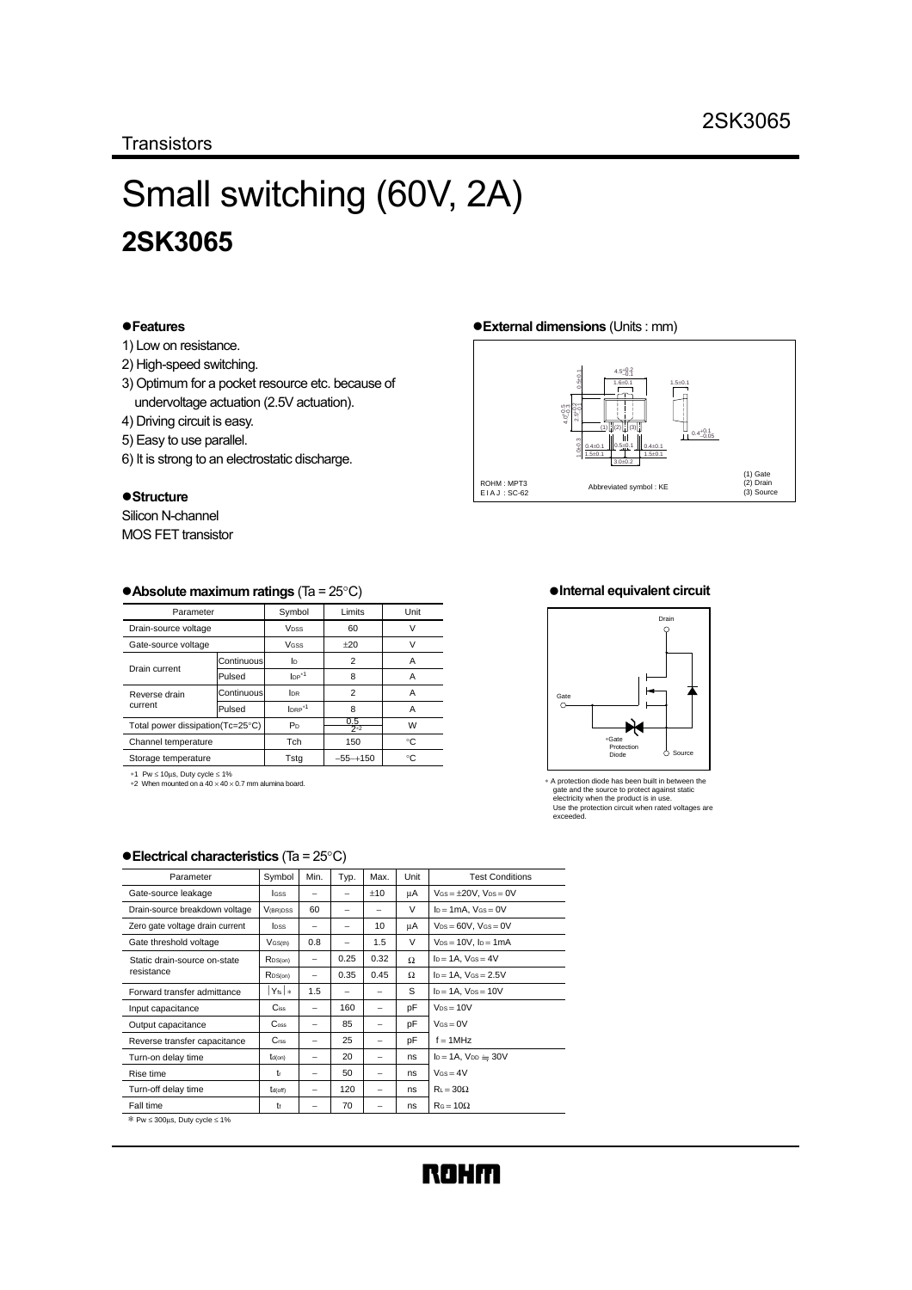# Small switching (60V, 2A) **2SK3065**

#### !**Features**

- 1) Low on resistance.
- 2) High-speed switching.
- 3) Optimum for a pocket resource etc. because of undervoltage actuation (2.5V actuation).
- 4) Driving circuit is easy.
- 5) Easy to use parallel.
- 6) It is strong to an electrostatic discharge.

#### !**Structure**

Silicon N-channel MOS FET transistor

## !**External dimensions** (Units : mm)



#### !**Absolute maximum ratings** (Ta = 25°C)

| Parameter                        |            | Symbol                            | Limits         | Unit |
|----------------------------------|------------|-----------------------------------|----------------|------|
| Drain-source voltage             |            | <b>V<sub>DSS</sub></b>            | 60             | ν    |
| Gate-source voltage              |            | VGSS                              | $+20$          | v    |
| Drain current                    | Continuous | In.                               | 2              | А    |
|                                  | Pulsed     | $\mathsf{IP}^{*1}$                | 8              | А    |
| Reverse drain<br>current         | Continuous | I <sub>DR</sub>                   | $\overline{2}$ | А    |
|                                  | Pulsed     | $Iner*1$                          | 8              | А    |
| Total power dissipation(Tc=25°C) |            | 0.5<br>P <sub>D</sub><br>$2^{*2}$ |                | W    |
| Channel temperature              |            | Tch                               | 150            | ۰c   |
| Storage temperature              |            | Tstg                              | $-55 - +150$   | °C   |

∗1 Pw ≤ 10µs, Duty cycle ≤ 1% ∗2 When mounted on a 40 × 40 × 0.7 mm alumina board.

**Electrical characteristics** (Ta = 25°C)

#### !**Internal equivalent circuit**



∗ A protection diode has been built in between the gate and the source to protect against static electricity when the product is in use. Use the protection circuit when rated voltages are exceeded.

| Parameter                         | Symbol               | Min. | Typ. | Max.                     | Unit | <b>Test Conditions</b>          |
|-----------------------------------|----------------------|------|------|--------------------------|------|---------------------------------|
| Gate-source leakage               | <b>IGSS</b>          |      | -    | ±10                      | μA   | $V$ Gs = $\pm$ 20V. $V$ ps = 0V |
| Drain-source breakdown voltage    | $V_{(BR)DSS}$        | 60   | -    | -                        | V    | $I_D = 1mA$ . $V_{GS} = 0V$     |
| Zero gate voltage drain current   | <b>Inss</b>          |      | -    | 10                       | μA   | $V_{DS} = 60V$ , $V_{GS} = 0V$  |
| Gate threshold voltage            | $V$ GS(th)           | 0.8  | -    | 1.5                      | V    | $V_{DS} = 10V$ , $I_D = 1mA$    |
| Static drain-source on-state      | RDS(on)              | -    | 0.25 | 0.32                     | Ω    | $I_D = 1A$ , $V_{GS} = 4V$      |
| resistance                        | $R_{DS(on)}$         | -    | 0.35 | 0.45                     | Ω    | $I_D = 1A$ , $V_{GS} = 2.5V$    |
| Forward transfer admittance       | $Y_{fs}$ $*$         | 1.5  | -    | -                        | S    | $I_D = 1A$ , $V_{DS} = 10V$     |
| Input capacitance                 | $C$ <sub>iss</sub>   | -    | 160  | -                        | pF   | $V_{DS} = 10V$                  |
| Output capacitance                | $\mathbf{C}$ oss     |      | 85   |                          | pF   | $V$ $\text{GS} = 0$ V           |
| Reverse transfer capacitance      | C <sub>rss</sub>     |      | 25   |                          | pF   | $f = 1$ MHz                     |
| Turn-on delay time                | $t_{d(on)}$          |      | 20   | -                        | ns.  | $I_D = 1A$ , $V_{DD} = 30V$     |
| Rise time                         | t                    | -    | 50   | $\overline{\phantom{0}}$ | ns.  | $V$ s = $4V$                    |
| Turn-off delay time               | t <sub>d</sub> (off) | -    | 120  | -                        | ns.  | $R_L = 30\Omega$                |
| Fall time                         | t                    |      | 70   |                          | ns   | $R_G = 10\Omega$                |
| $\pm$ Durc 200us. Duty oveloc 1%. |                      |      |      |                          |      |                                 |

300μs, Duty cy

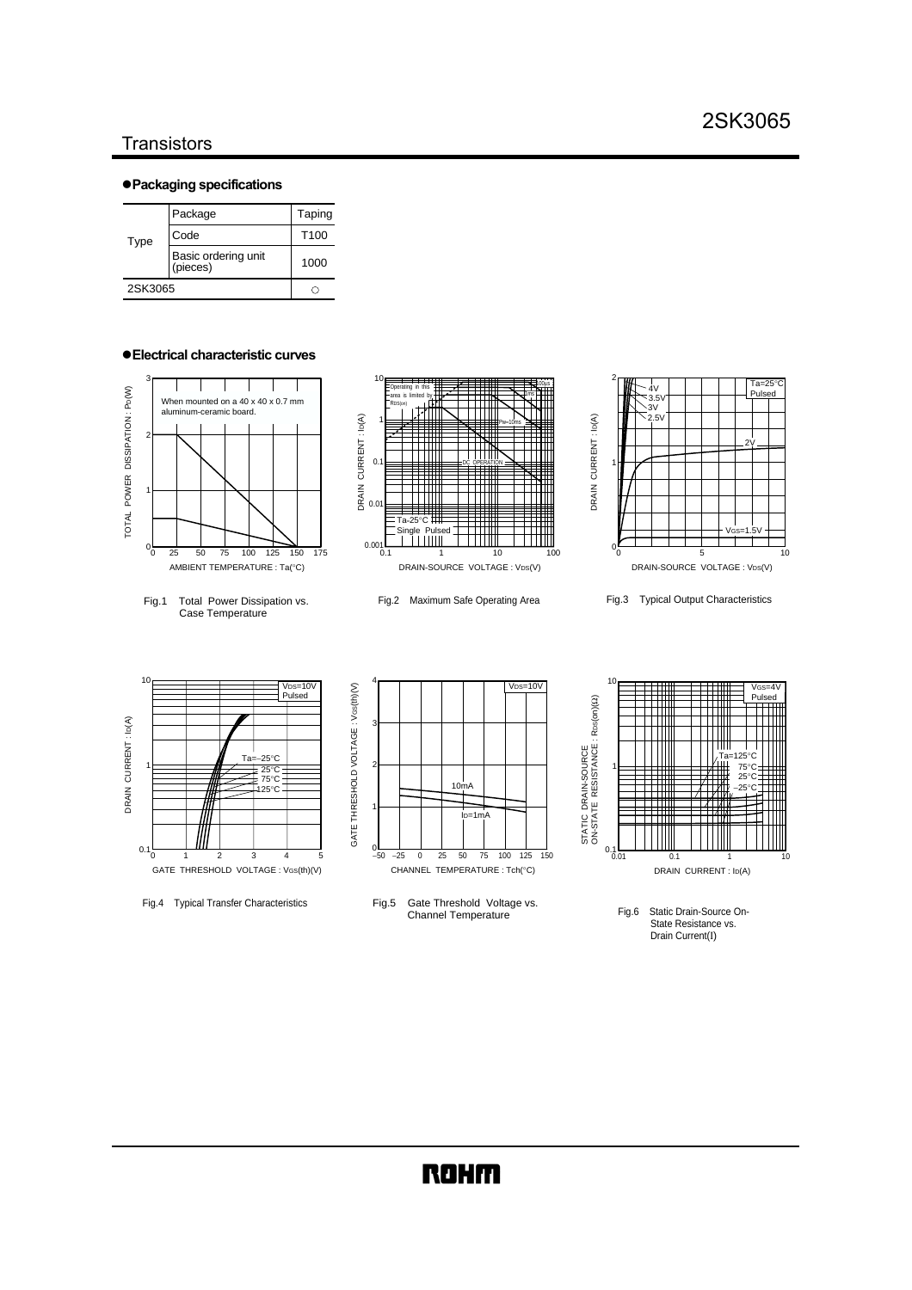#### **Transistors**

#### !**Packaging specifications**

| Type    | Package                         | Taping           |
|---------|---------------------------------|------------------|
|         | Code                            | T <sub>100</sub> |
|         | Basic ordering unit<br>(pieces) | 1000             |
| 2SK3065 |                                 |                  |

#### !**Electrical characteristic curves**



Fig.1 Total Power Dissipation vs. Case Temperature



Fig.2 Maximum Safe Operating Area



Fig.3 Typical Output Characteristics



Fig.4 Typical Transfer Characteristics



Fig.5 Gate Threshold Voltage vs. Channel Temperature



Fig.6 Static Drain-Source On-State Resistance vs. Drain Current(Ι)

### **ROHM**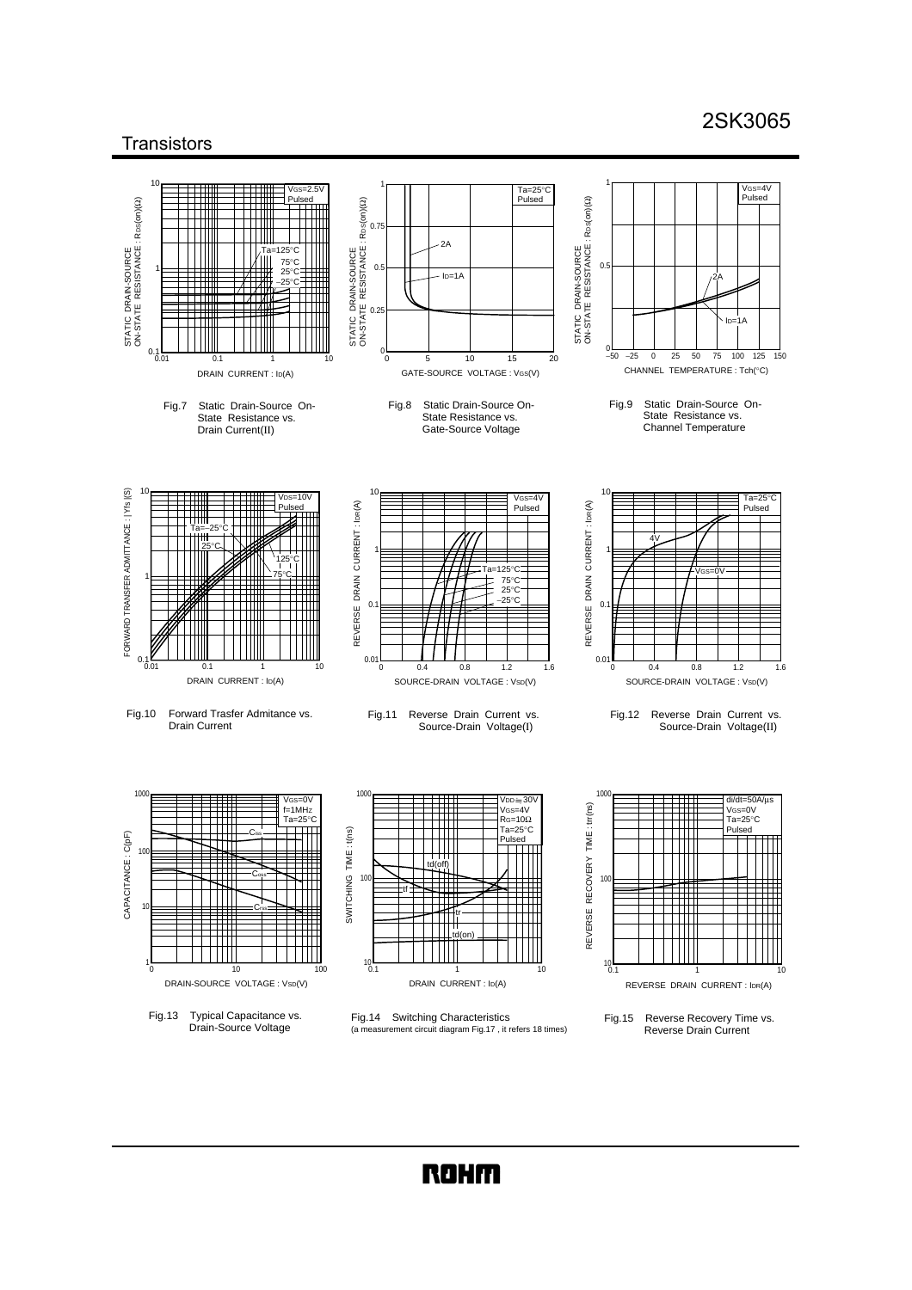### 2SK3065

 $\sqrt{Cc-4}$ ......<br>Pulsed

 $In-1A$ 

 $1.2$ 

di/dt=50A/µs VGs=0V<br>Ta=25°C Pulsed

Ta=25°C Pulsed

#### **Transistors**  $\overline{a}$ 1 1 VGS=2.5V Ta=25°C Pulsed STATIC DRAIN-SOURCE<br>ON-STATE RESISTANCE : Rps(on)(2)  $Ros(on)(\Omega)$ Pulsed ON-STATE RESISTANCE : RDS(on)(Ω) ON-STATE RESISTANCE : RDS(on)(Ω) ON-STATE RESISTANCE : RDS(on)(Ω) 0.75  $2A$ STATIC DRAIN-SOURCE<br>ON-STATE RESISTANCE : M Ta=125°C STATIC DRAIN-SOURCE STATIC DRAIN-SOURCE STATIC DRAIN-SOURCE 75°C 25°C  $0.5$ 1 0.5  $I_{D=1}$ 2A −25°C 0.25  $\blacksquare$  $0.1$  – 0.01  $\frac{1}{0}$ <sup>−</sup>50 150 <sup>100</sup> <sup>0</sup> −25 0 25 50 75 100 125 0 25 50 0.1 5 10 15 0 5 10 15 20 0.01 0.1 1 10 1 CHANNEL TEMPERATURE : Tch(°C) GATE-SOURCE VOLTAGE : VGS(V) DRAIN CURRENT : ID(A) Fig.9 Static Drain-Source On-Fig.8 Static Drain-Source On-Fig.7 Static Drain-Source On-State Resistance vs. State Resistance vs. State Resistance vs. Channel Temperature Drain Current(II) Gate-Source Voltage FORWARD TRANSFER ADMITTANCE : | Yfs |(S)  $10$ FORWARD TRANSFER ADMITTANCE : | Yfs |(S) 10 10  $V$ cs=4 VDS=10V REVERSE DRAIN CURRENT: IDR(A) REVERSE DRAIN CURRENT : IDR(A) Pulsed REVERSE DRAIN CURRENT: IDR(A) REVERSE DRAIN CURRENT : IDR(A) Pulsed Ta=−25°C 4V 25°C 1 1 125°C  $=125^{\circ}$ C VGS=0V 75°C 1 75°C 25°C  $-25^{\circ}$ C  $\Omega$ ╥  $0.1 - 0.01$  $\begin{array}{ccccccc}\n0.01 & 0.4 & 0.8 & 1.2 & 1.6\n\end{array}$  $0.01$  0.4 0.8 1.2 1.6 0.4 0.8 1.2 0.4 0.8 0.01 0.1 1 10  $\Omega$ 1 DRAIN CURRENT : ID(A) SOURCE-DRAIN VOLTAGE : Vsp(V) SOURCE-DRAIN VOLTAGE : Vsp(V) Fig.10 Forward Trasfer Admitance vs. Fig.11 Reverse Drain Current vs. Fig.12 Reverse Drain Current vs. Drain Current Source-Drain Voltage(Ι) Source-Drain Voltage(ΙΙ) 1000 1000 1000  $V$ DD $=$ 30 VGS=0V f=1MHZ  $tr(ns)$ REVERSE RECOVERY TIME : trr(ns) VGS=4V  $Ta-25°$ RG=10Ω Ta=25°C SWITCHING TIME: t(ns) SWITCHING TIME : t(ns) REVERSE RECOVERY TIME Ciss CAPACITANCE : C(pF) CAPACITANCE : C(pF) Pulsed  $10<sup>10</sup>$  $+\dfrac{1}{10}$  Coss ┭┭ 100 10  $\pm$ tf 10 Crss tr ┯┯╫  $\mathbb T$ td(on)  $10^{10}$  $10<sub>0</sub>$ 1  $10$ 0 10 100 0.1 1 10 1 0.1 10 1 DRAIN-SOURCE VOLTAGE : VsD(V) DRAIN CURRENT : ID(A) REVERSE DRAIN CURRENT : IDR(A) Fig.14 Switching Characteristics Fig.13 Typical Capacitance vs. Drain-Source Voltage Fig.15 Reverse Recovery Time vs. (a measurement circuit diagram Fig.17 , it refers 18 times) Reverse Drain Current

**ROHM**